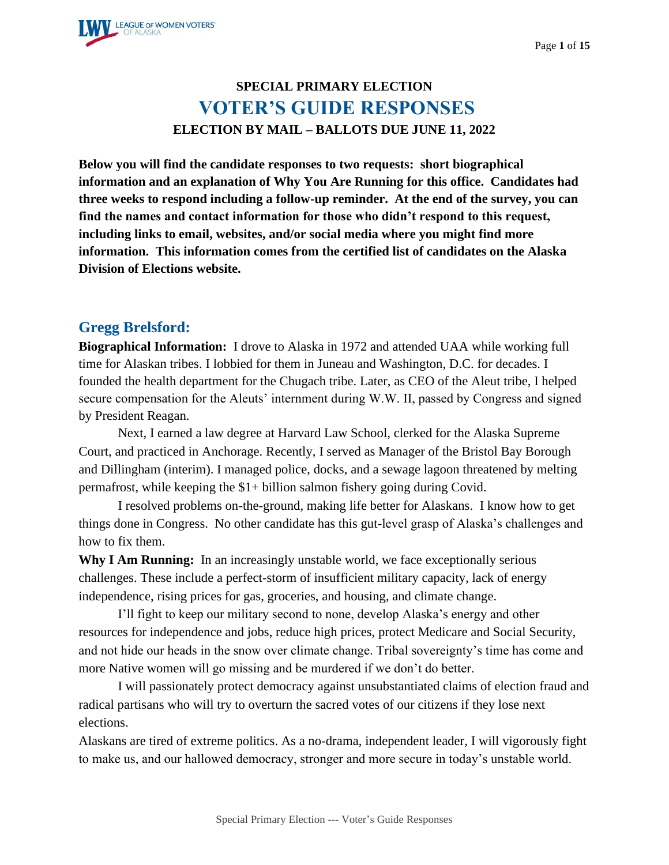

# **SPECIAL PRIMARY ELECTION VOTER'S GUIDE RESPONSES ELECTION BY MAIL – BALLOTS DUE JUNE 11, 2022**

**Below you will find the candidate responses to two requests: short biographical information and an explanation of Why You Are Running for this office. Candidates had three weeks to respond including a follow-up reminder. At the end of the survey, you can find the names and contact information for those who didn't respond to this request, including links to email, websites, and/or social media where you might find more information. This information comes from the certified list of candidates on the Alaska Division of Elections website.**

#### **Gregg Brelsford:**

**Biographical Information:** I drove to Alaska in 1972 and attended UAA while working full time for Alaskan tribes. I lobbied for them in Juneau and Washington, D.C. for decades. I founded the health department for the Chugach tribe. Later, as CEO of the Aleut tribe, I helped secure compensation for the Aleuts' internment during W.W. II, passed by Congress and signed by President Reagan.

Next, I earned a law degree at Harvard Law School, clerked for the Alaska Supreme Court, and practiced in Anchorage. Recently, I served as Manager of the Bristol Bay Borough and Dillingham (interim). I managed police, docks, and a sewage lagoon threatened by melting permafrost, while keeping the \$1+ billion salmon fishery going during Covid.

I resolved problems on-the-ground, making life better for Alaskans. I know how to get things done in Congress. No other candidate has this gut-level grasp of Alaska's challenges and how to fix them.

**Why I Am Running:** In an increasingly unstable world, we face exceptionally serious challenges. These include a perfect-storm of insufficient military capacity, lack of energy independence, rising prices for gas, groceries, and housing, and climate change.

I'll fight to keep our military second to none, develop Alaska's energy and other resources for independence and jobs, reduce high prices, protect Medicare and Social Security, and not hide our heads in the snow over climate change. Tribal sovereignty's time has come and more Native women will go missing and be murdered if we don't do better.

I will passionately protect democracy against unsubstantiated claims of election fraud and radical partisans who will try to overturn the sacred votes of our citizens if they lose next elections.

Alaskans are tired of extreme politics. As a no-drama, independent leader, I will vigorously fight to make us, and our hallowed democracy, stronger and more secure in today's unstable world.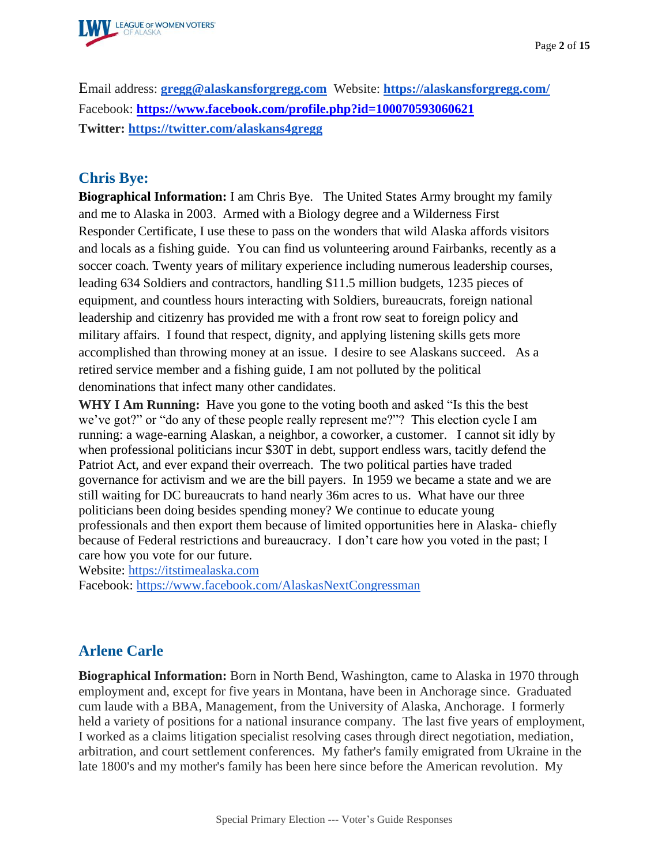

Email address: **[gregg@alaskansforgregg.com](mailto:gregg@alaskansforgregg.com)** Website: **<https://alaskansforgregg.com/>** Facebook: **<https://www.facebook.com/profile.php?id=100070593060621> Twitter:<https://twitter.com/alaskans4gregg>**

#### **Chris Bye:**

**Biographical Information:** I am Chris Bye. The United States Army brought my family and me to Alaska in 2003. Armed with a Biology degree and a Wilderness First Responder Certificate, I use these to pass on the wonders that wild Alaska affords visitors and locals as a fishing guide. You can find us volunteering around Fairbanks, recently as a soccer coach. Twenty years of military experience including numerous leadership courses, leading 634 Soldiers and contractors, handling \$11.5 million budgets, 1235 pieces of equipment, and countless hours interacting with Soldiers, bureaucrats, foreign national leadership and citizenry has provided me with a front row seat to foreign policy and military affairs. I found that respect, dignity, and applying listening skills gets more accomplished than throwing money at an issue. I desire to see Alaskans succeed. As a retired service member and a fishing guide, I am not polluted by the political denominations that infect many other candidates.

**WHY I Am Running:** Have you gone to the voting booth and asked "Is this the best we've got?" or "do any of these people really represent me?"? This election cycle I am running: a wage-earning Alaskan, a neighbor, a coworker, a customer. I cannot sit idly by when professional politicians incur \$30T in debt, support endless wars, tacitly defend the Patriot Act, and ever expand their overreach. The two political parties have traded governance for activism and we are the bill payers. In 1959 we became a state and we are still waiting for DC bureaucrats to hand nearly 36m acres to us. What have our three politicians been doing besides spending money? We continue to educate young professionals and then export them because of limited opportunities here in Alaska- chiefly because of Federal restrictions and bureaucracy. I don't care how you voted in the past; I care how you vote for our future.

Website: [https://itstimealaska.com](https://itstimealaska.com/)

Facebook:<https://www.facebook.com/AlaskasNextCongressman>

## **Arlene Carle**

**Biographical Information:** Born in North Bend, Washington, came to Alaska in 1970 through employment and, except for five years in Montana, have been in Anchorage since. Graduated cum laude with a BBA, Management, from the University of Alaska, Anchorage. I formerly held a variety of positions for a national insurance company. The last five years of employment, I worked as a claims litigation specialist resolving cases through direct negotiation, mediation, arbitration, and court settlement conferences. My father's family emigrated from Ukraine in the late 1800's and my mother's family has been here since before the American revolution. My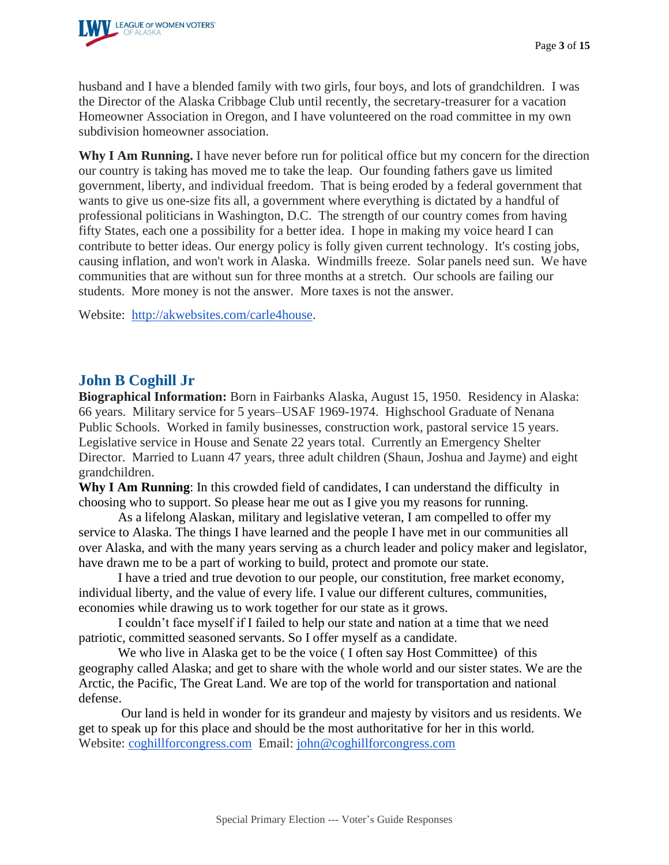

husband and I have a blended family with two girls, four boys, and lots of grandchildren. I was the Director of the Alaska Cribbage Club until recently, the secretary-treasurer for a vacation Homeowner Association in Oregon, and I have volunteered on the road committee in my own subdivision homeowner association.

**Why I Am Running.** I have never before run for political office but my concern for the direction our country is taking has moved me to take the leap. Our founding fathers gave us limited government, liberty, and individual freedom. That is being eroded by a federal government that wants to give us one-size fits all, a government where everything is dictated by a handful of professional politicians in Washington, D.C. The strength of our country comes from having fifty States, each one a possibility for a better idea. I hope in making my voice heard I can contribute to better ideas. Our energy policy is folly given current technology. It's costing jobs, causing inflation, and won't work in Alaska. Windmills freeze. Solar panels need sun. We have communities that are without sun for three months at a stretch. Our schools are failing our students. More money is not the answer. More taxes is not the answer.

Website: [http://akwebsites.com/carle4house.](http://akwebsites.com/carle4house)

#### **John B Coghill Jr**

**Biographical Information:** Born in Fairbanks Alaska, August 15, 1950. Residency in Alaska: 66 years. Military service for 5 years–USAF 1969-1974. Highschool Graduate of Nenana Public Schools. Worked in family businesses, construction work, pastoral service 15 years. Legislative service in House and Senate 22 years total. Currently an Emergency Shelter Director. Married to Luann 47 years, three adult children (Shaun, Joshua and Jayme) and eight grandchildren.

**Why I Am Running**: In this crowded field of candidates, I can understand the difficulty in choosing who to support. So please hear me out as I give you my reasons for running.

As a lifelong Alaskan, military and legislative veteran, I am compelled to offer my service to Alaska. The things I have learned and the people I have met in our communities all over Alaska, and with the many years serving as a church leader and policy maker and legislator, have drawn me to be a part of working to build, protect and promote our state.

I have a tried and true devotion to our people, our constitution, free market economy, individual liberty, and the value of every life. I value our different cultures, communities, economies while drawing us to work together for our state as it grows.

I couldn't face myself if I failed to help our state and nation at a time that we need patriotic, committed seasoned servants. So I offer myself as a candidate.

We who live in Alaska get to be the voice ( I often say Host Committee) of this geography called Alaska; and get to share with the whole world and our sister states. We are the Arctic, the Pacific, The Great Land. We are top of the world for transportation and national defense.

Our land is held in wonder for its grandeur and majesty by visitors and us residents. We get to speak up for this place and should be the most authoritative for her in this world. Website: [coghillforcongress.com](http://coghillforcongress.com/) Email: [john@coghillforcongress.com](mailto:john@coghillforcongress.com)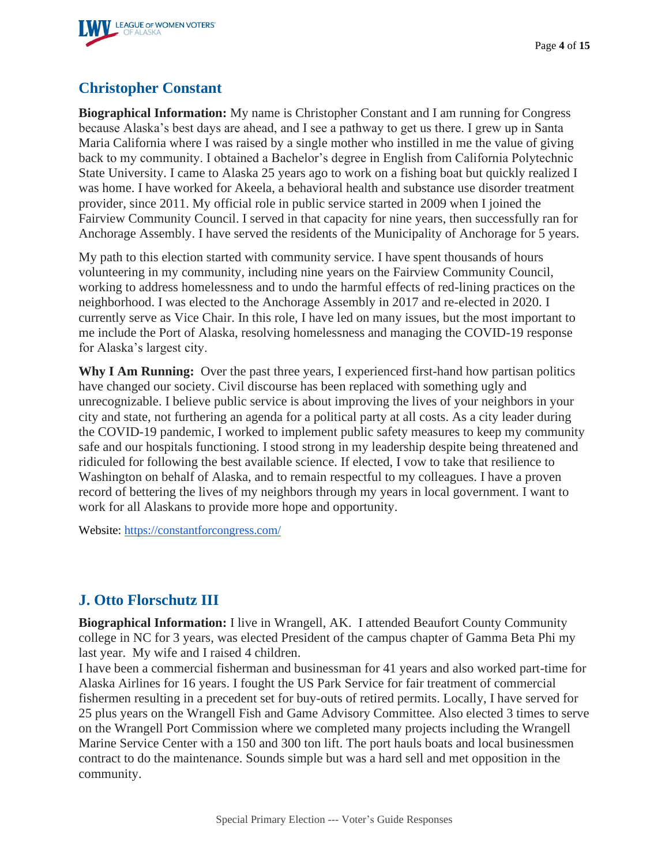

## **Christopher Constant**

**Biographical Information:** My name is Christopher Constant and I am running for Congress because Alaska's best days are ahead, and I see a pathway to get us there. I grew up in Santa Maria California where I was raised by a single mother who instilled in me the value of giving back to my community. I obtained a Bachelor's degree in English from California Polytechnic State University. I came to Alaska 25 years ago to work on a fishing boat but quickly realized I was home. I have worked for Akeela, a behavioral health and substance use disorder treatment provider, since 2011. My official role in public service started in 2009 when I joined the Fairview Community Council. I served in that capacity for nine years, then successfully ran for Anchorage Assembly. I have served the residents of the Municipality of Anchorage for 5 years.

My path to this election started with community service. I have spent thousands of hours volunteering in my community, including nine years on the Fairview Community Council, working to address homelessness and to undo the harmful effects of red-lining practices on the neighborhood. I was elected to the Anchorage Assembly in 2017 and re-elected in 2020. I currently serve as Vice Chair. In this role, I have led on many issues, but the most important to me include the Port of Alaska, resolving homelessness and managing the COVID-19 response for Alaska's largest city.

**Why I Am Running:** Over the past three years, I experienced first-hand how partisan politics have changed our society. Civil discourse has been replaced with something ugly and unrecognizable. I believe public service is about improving the lives of your neighbors in your city and state, not furthering an agenda for a political party at all costs. As a city leader during the COVID-19 pandemic, I worked to implement public safety measures to keep my community safe and our hospitals functioning. I stood strong in my leadership despite being threatened and ridiculed for following the best available science. If elected, I vow to take that resilience to Washington on behalf of Alaska, and to remain respectful to my colleagues. I have a proven record of bettering the lives of my neighbors through my years in local government. I want to work for all Alaskans to provide more hope and opportunity.

Website: <https://constantforcongress.com/>

## **J. Otto Florschutz III**

**Biographical Information:** I live in Wrangell, AK. I attended Beaufort County Community college in NC for 3 years, was elected President of the campus chapter of Gamma Beta Phi my last year. My wife and I raised 4 children.

I have been a commercial fisherman and businessman for 41 years and also worked part-time for Alaska Airlines for 16 years. I fought the US Park Service for fair treatment of commercial fishermen resulting in a precedent set for buy-outs of retired permits. Locally, I have served for 25 plus years on the Wrangell Fish and Game Advisory Committee. Also elected 3 times to serve on the Wrangell Port Commission where we completed many projects including the Wrangell Marine Service Center with a 150 and 300 ton lift. The port hauls boats and local businessmen contract to do the maintenance. Sounds simple but was a hard sell and met opposition in the community.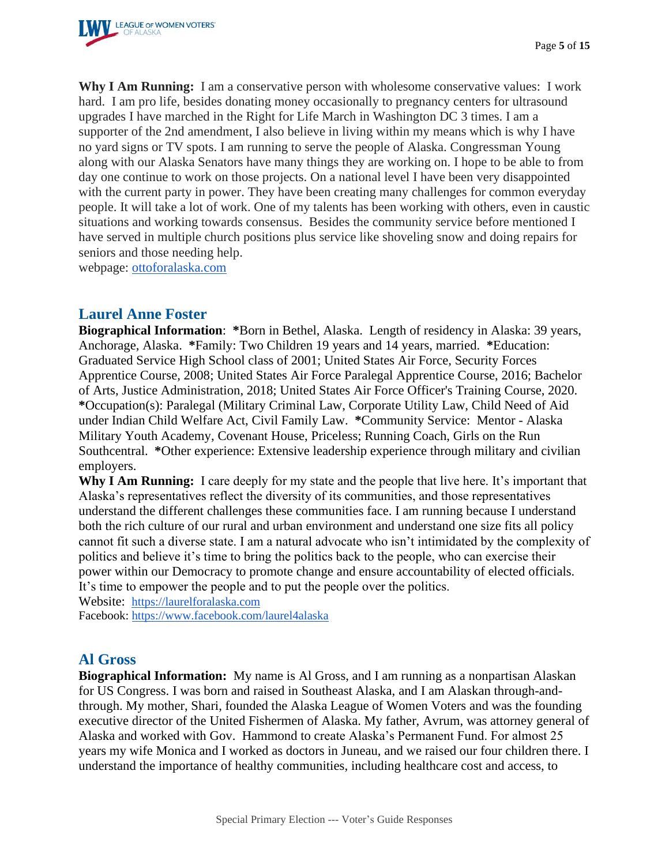

**Why I Am Running:** I am a conservative person with wholesome conservative values: I work hard. I am pro life, besides donating money occasionally to pregnancy centers for ultrasound upgrades I have marched in the Right for Life March in Washington DC 3 times. I am a supporter of the 2nd amendment, I also believe in living within my means which is why I have no yard signs or TV spots. I am running to serve the people of Alaska. Congressman Young along with our Alaska Senators have many things they are working on. I hope to be able to from day one continue to work on those projects. On a national level I have been very disappointed with the current party in power. They have been creating many challenges for common everyday people. It will take a lot of work. One of my talents has been working with others, even in caustic situations and working towards consensus. Besides the community service before mentioned I have served in multiple church positions plus service like shoveling snow and doing repairs for seniors and those needing help.

webpage: [ottoforalaska.com](http://ottoforalaska.com/)

#### **Laurel Anne Foster**

**Biographical Information**: **\***Born in Bethel, Alaska. Length of residency in Alaska: 39 years, Anchorage, Alaska. **\***Family: Two Children 19 years and 14 years, married. **\***Education: Graduated Service High School class of 2001; United States Air Force, Security Forces Apprentice Course, 2008; United States Air Force Paralegal Apprentice Course, 2016; Bachelor of Arts, Justice Administration, 2018; United States Air Force Officer's Training Course, 2020. **\***Occupation(s): Paralegal (Military Criminal Law, Corporate Utility Law, Child Need of Aid under Indian Child Welfare Act, Civil Family Law. **\***Community Service: Mentor - Alaska Military Youth Academy, Covenant House, Priceless; Running Coach, Girls on the Run Southcentral. **\***Other experience: Extensive leadership experience through military and civilian employers.

**Why I Am Running:** I care deeply for my state and the people that live here. It's important that Alaska's representatives reflect the diversity of its communities, and those representatives understand the different challenges these communities face. I am running because I understand both the rich culture of our rural and urban environment and understand one size fits all policy cannot fit such a diverse state. I am a natural advocate who isn't intimidated by the complexity of politics and believe it's time to bring the politics back to the people, who can exercise their power within our Democracy to promote change and ensure accountability of elected officials. It's time to empower the people and to put the people over the politics.

Website: [https://laurelforalaska.com](https://laurelforalaska.com/)

Facebook:<https://www.facebook.com/laurel4alaska>

#### **Al Gross**

**Biographical Information:** My name is Al Gross, and I am running as a nonpartisan Alaskan for US Congress. I was born and raised in Southeast Alaska, and I am Alaskan through-andthrough. My mother, Shari, founded the Alaska League of Women Voters and was the founding executive director of the United Fishermen of Alaska. My father, Avrum, was attorney general of Alaska and worked with Gov. Hammond to create Alaska's Permanent Fund. For almost 25 years my wife Monica and I worked as doctors in Juneau, and we raised our four children there. I understand the importance of healthy communities, including healthcare cost and access, to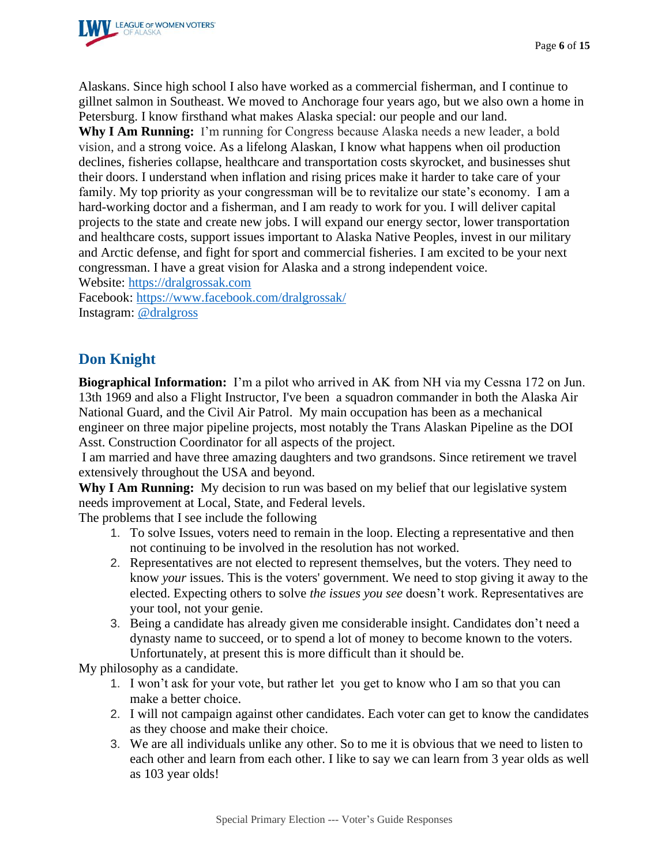

Alaskans. Since high school I also have worked as a commercial fisherman, and I continue to gillnet salmon in Southeast. We moved to Anchorage four years ago, but we also own a home in Petersburg. I know firsthand what makes Alaska special: our people and our land.

**Why I Am Running:** I'm running for Congress because Alaska needs a new leader, a bold vision, and a strong voice. As a lifelong Alaskan, I know what happens when oil production declines, fisheries collapse, healthcare and transportation costs skyrocket, and businesses shut their doors. I understand when inflation and rising prices make it harder to take care of your family. My top priority as your congressman will be to revitalize our state's economy. I am a hard-working doctor and a fisherman, and I am ready to work for you. I will deliver capital projects to the state and create new jobs. I will expand our energy sector, lower transportation and healthcare costs, support issues important to Alaska Native Peoples, invest in our military and Arctic defense, and fight for sport and commercial fisheries. I am excited to be your next congressman. I have a great vision for Alaska and a strong independent voice.

Website: [https://dralgrossak.com](https://dralgrossak.com/)

Facebook:<https://www.facebook.com/dralgrossak/> Instagram: [@dralgross](https://www.instagram.com/dralgross/)

# **Don Knight**

**Biographical Information:** I'm a pilot who arrived in AK from NH via my Cessna 172 on Jun. 13th 1969 and also a Flight Instructor, I've been a squadron commander in both the Alaska Air National Guard, and the Civil Air Patrol. My main occupation has been as a mechanical engineer on three major pipeline projects, most notably the Trans Alaskan Pipeline as the DOI Asst. Construction Coordinator for all aspects of the project.

I am married and have three amazing daughters and two grandsons. Since retirement we travel extensively throughout the USA and beyond.

**Why I Am Running:** My decision to run was based on my belief that our legislative system needs improvement at Local, State, and Federal levels.

The problems that I see include the following

- 1. To solve Issues, voters need to remain in the loop. Electing a representative and then not continuing to be involved in the resolution has not worked.
- 2. Representatives are not elected to represent themselves, but the voters. They need to know *your* issues. This is the voters' government. We need to stop giving it away to the elected. Expecting others to solve *the issues you see* doesn't work. Representatives are your tool, not your genie.
- 3. Being a candidate has already given me considerable insight. Candidates don't need a dynasty name to succeed, or to spend a lot of money to become known to the voters. Unfortunately, at present this is more difficult than it should be.

My philosophy as a candidate.

- 1. I won't ask for your vote, but rather let you get to know who I am so that you can make a better choice.
- 2. I will not campaign against other candidates. Each voter can get to know the candidates as they choose and make their choice.
- 3. We are all individuals unlike any other. So to me it is obvious that we need to listen to each other and learn from each other. I like to say we can learn from 3 year olds as well as 103 year olds!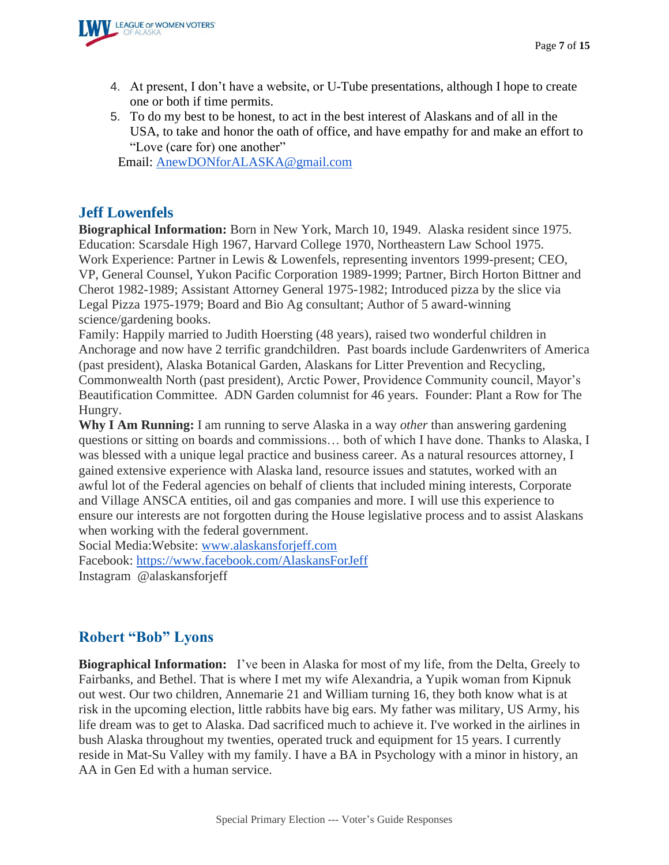

- 4. At present, I don't have a website, or U-Tube presentations, although I hope to create one or both if time permits.
- 5. To do my best to be honest, to act in the best interest of Alaskans and of all in the USA, to take and honor the oath of office, and have empathy for and make an effort to "Love (care for) one another"

Email: [AnewDONforALASKA@gmail.com](mailto:AnewDonforAlaska@gmail.com)

#### **Jeff Lowenfels**

**Biographical Information:** Born in New York, March 10, 1949. Alaska resident since 1975. Education: Scarsdale High 1967, Harvard College 1970, Northeastern Law School 1975. Work Experience: Partner in Lewis & Lowenfels, representing inventors 1999-present; CEO, VP, General Counsel, Yukon Pacific Corporation 1989-1999; Partner, Birch Horton Bittner and Cherot 1982-1989; Assistant Attorney General 1975-1982; Introduced pizza by the slice via Legal Pizza 1975-1979; Board and Bio Ag consultant; Author of 5 award-winning science/gardening books.

Family: Happily married to Judith Hoersting (48 years), raised two wonderful children in Anchorage and now have 2 terrific grandchildren. Past boards include Gardenwriters of America (past president), Alaska Botanical Garden, Alaskans for Litter Prevention and Recycling, Commonwealth North (past president), Arctic Power, Providence Community council, Mayor's Beautification Committee. ADN Garden columnist for 46 years. Founder: Plant a Row for The Hungry.

**Why I Am Running:** I am running to serve Alaska in a way *other* than answering gardening questions or sitting on boards and commissions… both of which I have done. Thanks to Alaska, I was blessed with a unique legal practice and business career. As a natural resources attorney, I gained extensive experience with Alaska land, resource issues and statutes, worked with an awful lot of the Federal agencies on behalf of clients that included mining interests, Corporate and Village ANSCA entities, oil and gas companies and more. I will use this experience to ensure our interests are not forgotten during the House legislative process and to assist Alaskans when working with the federal government.

Social Media:Website: [www.alaskansforjeff.com](http://www.alaskansforjeff.com/) Facebook:<https://www.facebook.com/AlaskansForJeff> Instagram @alaskansforjeff

## **Robert "Bob" Lyons**

**Biographical Information:** I've been in Alaska for most of my life, from the Delta, Greely to Fairbanks, and Bethel. That is where I met my wife Alexandria, a Yupik woman from Kipnuk out west. Our two children, Annemarie 21 and William turning 16, they both know what is at risk in the upcoming election, little rabbits have big ears. My father was military, US Army, his life dream was to get to Alaska. Dad sacrificed much to achieve it. I've worked in the airlines in bush Alaska throughout my twenties, operated truck and equipment for 15 years. I currently reside in Mat-Su Valley with my family. I have a BA in Psychology with a minor in history, an AA in Gen Ed with a human service.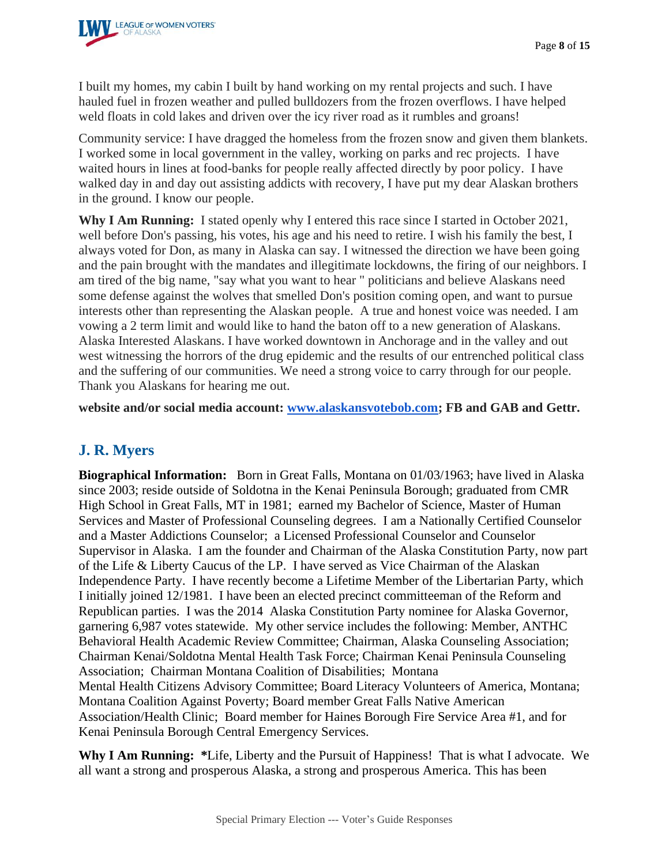

I built my homes, my cabin I built by hand working on my rental projects and such. I have hauled fuel in frozen weather and pulled bulldozers from the frozen overflows. I have helped weld floats in cold lakes and driven over the icy river road as it rumbles and groans!

Community service: I have dragged the homeless from the frozen snow and given them blankets. I worked some in local government in the valley, working on parks and rec projects. I have waited hours in lines at food-banks for people really affected directly by poor policy. I have walked day in and day out assisting addicts with recovery, I have put my dear Alaskan brothers in the ground. I know our people.

**Why I Am Running:** I stated openly why I entered this race since I started in October 2021, well before Don's passing, his votes, his age and his need to retire. I wish his family the best, I always voted for Don, as many in Alaska can say. I witnessed the direction we have been going and the pain brought with the mandates and illegitimate lockdowns, the firing of our neighbors. I am tired of the big name, "say what you want to hear " politicians and believe Alaskans need some defense against the wolves that smelled Don's position coming open, and want to pursue interests other than representing the Alaskan people. A true and honest voice was needed. I am vowing a 2 term limit and would like to hand the baton off to a new generation of Alaskans. Alaska Interested Alaskans. I have worked downtown in Anchorage and in the valley and out west witnessing the horrors of the drug epidemic and the results of our entrenched political class and the suffering of our communities. We need a strong voice to carry through for our people. Thank you Alaskans for hearing me out.

**website and/or social media account: [www.alaskansvotebob.com;](http://www.alaskansvotebob.com/) FB and GAB and Gettr.**

## **J. R. Myers**

**Biographical Information:** Born in Great Falls, Montana on 01/03/1963; have lived in Alaska since 2003; reside outside of Soldotna in the Kenai Peninsula Borough; graduated from CMR High School in Great Falls, MT in 1981; earned my Bachelor of Science, Master of Human Services and Master of Professional Counseling degrees. I am a Nationally Certified Counselor and a Master Addictions Counselor; a Licensed Professional Counselor and Counselor Supervisor in Alaska. I am the founder and Chairman of the Alaska Constitution Party, now part of the Life & Liberty Caucus of the LP. I have served as Vice Chairman of the Alaskan Independence Party. I have recently become a Lifetime Member of the Libertarian Party, which I initially joined 12/1981. I have been an elected precinct committeeman of the Reform and Republican parties. I was the 2014 Alaska Constitution Party nominee for Alaska Governor, garnering 6,987 votes statewide. My other service includes the following: Member, ANTHC Behavioral Health Academic Review Committee; Chairman, Alaska Counseling Association; Chairman Kenai/Soldotna Mental Health Task Force; Chairman Kenai Peninsula Counseling Association; Chairman Montana Coalition of Disabilities; Montana Mental Health Citizens Advisory Committee; Board Literacy Volunteers of America, Montana; Montana Coalition Against Poverty; Board member Great Falls Native American Association/Health Clinic; Board member for Haines Borough Fire Service Area #1, and for Kenai Peninsula Borough Central Emergency Services.

**Why I Am Running: \***Life, Liberty and the Pursuit of Happiness! That is what I advocate. We all want a strong and prosperous Alaska, a strong and prosperous America. This has been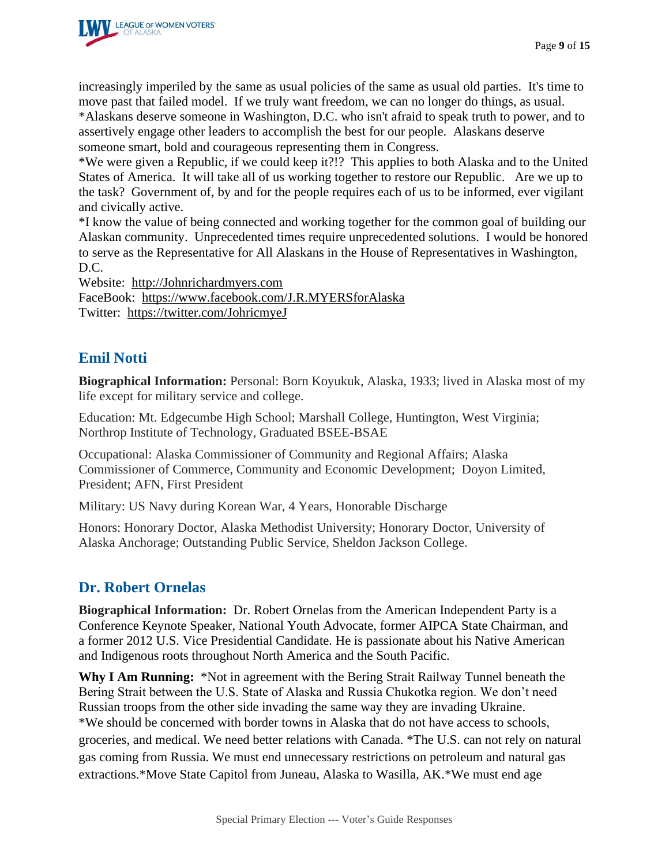

increasingly imperiled by the same as usual policies of the same as usual old parties. It's time to move past that failed model. If we truly want freedom, we can no longer do things, as usual. \*Alaskans deserve someone in Washington, D.C. who isn't afraid to speak truth to power, and to assertively engage other leaders to accomplish the best for our people. Alaskans deserve someone smart, bold and courageous representing them in Congress.

\*We were given a Republic, if we could keep it?!? This applies to both Alaska and to the United States of America. It will take all of us working together to restore our Republic. Are we up to the task? Government of, by and for the people requires each of us to be informed, ever vigilant and civically active.

\*I know the value of being connected and working together for the common goal of building our Alaskan community. Unprecedented times require unprecedented solutions. I would be honored to serve as the Representative for All Alaskans in the House of Representatives in Washington, D.C.

Website: http://Johnrichardmyers.com

FaceBook: <https://www.facebook.com/J.R.MYERSforAlaska> Twitter: <https://twitter.com/JohricmyeJ>

#### **Emil Notti**

**Biographical Information:** Personal: Born Koyukuk, Alaska, 1933; lived in Alaska most of my life except for military service and college.

Education: Mt. Edgecumbe High School; Marshall College, Huntington, West Virginia; Northrop Institute of Technology, Graduated BSEE-BSAE

Occupational: Alaska Commissioner of Community and Regional Affairs; Alaska Commissioner of Commerce, Community and Economic Development; Doyon Limited, President; AFN, First President

Military: US Navy during Korean War, 4 Years, Honorable Discharge

Honors: Honorary Doctor, Alaska Methodist University; Honorary Doctor, University of Alaska Anchorage; Outstanding Public Service, Sheldon Jackson College.

## **Dr. Robert Ornelas**

**Biographical Information:** Dr. Robert Ornelas from the American Independent Party is a Conference Keynote Speaker, National Youth Advocate, former AIPCA State Chairman, and a former 2012 U.S. Vice Presidential Candidate. He is passionate about his Native American and Indigenous roots throughout North America and the South Pacific.

**Why I Am Running:** \*Not in agreement with the Bering Strait Railway Tunnel beneath the Bering Strait between the U.S. State of Alaska and Russia Chukotka region. We don't need Russian troops from the other side invading the same way they are invading Ukraine. \*We should be concerned with border towns in Alaska that do not have access to schools, groceries, and medical. We need better relations with Canada. \*The U.S. can not rely on natural gas coming from Russia. We must end unnecessary restrictions on petroleum and natural gas extractions.\*Move State Capitol from Juneau, Alaska to Wasilla, AK.\*We must end age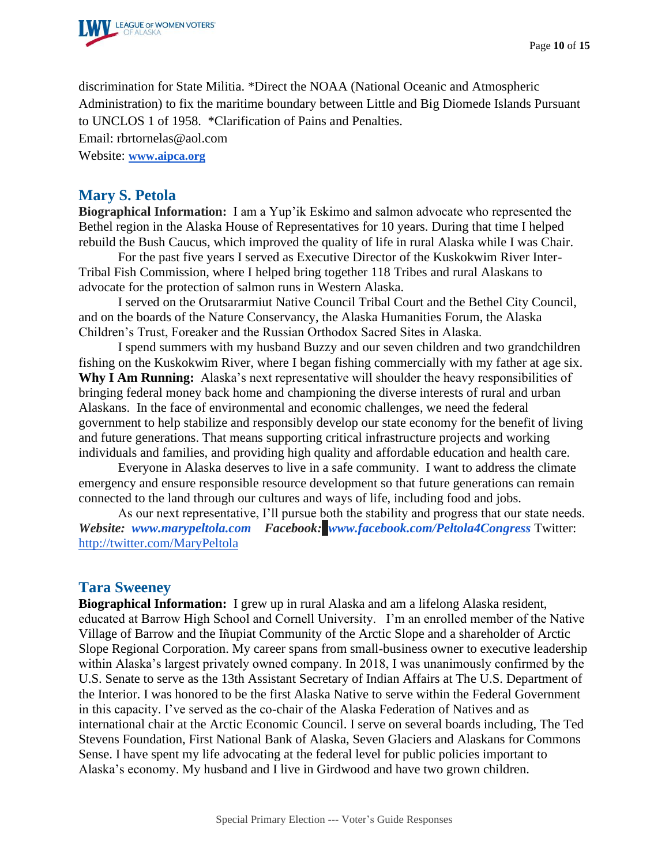

discrimination for State Militia. \*Direct the NOAA (National Oceanic and Atmospheric Administration) to fix the maritime boundary between Little and Big Diomede Islands Pursuant to UNCLOS 1 of 1958. \*Clarification of Pains and Penalties.

Email: rbrtornelas@aol.com

Website: **[www.aipca.org](https://www.aipca.org/)**

#### **Mary S. Petola**

**Biographical Information:** I am a Yup'ik Eskimo and salmon advocate who represented the Bethel region in the Alaska House of Representatives for 10 years. During that time I helped rebuild the Bush Caucus, which improved the quality of life in rural Alaska while I was Chair.

For the past five years I served as Executive Director of the Kuskokwim River Inter-Tribal Fish Commission, where I helped bring together 118 Tribes and rural Alaskans to advocate for the protection of salmon runs in Western Alaska.

I served on the Orutsararmiut Native Council Tribal Court and the Bethel City Council, and on the boards of the Nature Conservancy, the Alaska Humanities Forum, the Alaska Children's Trust, Foreaker and the Russian Orthodox Sacred Sites in Alaska.

I spend summers with my husband Buzzy and our seven children and two grandchildren fishing on the Kuskokwim River, where I began fishing commercially with my father at age six. **Why I Am Running:** Alaska's next representative will shoulder the heavy responsibilities of bringing federal money back home and championing the diverse interests of rural and urban Alaskans. In the face of environmental and economic challenges, we need the federal government to help stabilize and responsibly develop our state economy for the benefit of living and future generations. That means supporting critical infrastructure projects and working individuals and families, and providing high quality and affordable education and health care.

Everyone in Alaska deserves to live in a safe community. I want to address the climate emergency and ensure responsible resource development so that future generations can remain connected to the land through our cultures and ways of life, including food and jobs.

As our next representative, I'll pursue both the stability and progress that our state needs. *Website: [www.marypeltola.com](http://www.marypeltola.com/) Facebook:**[www.facebook.com/Peltola4Congress](http://www.facebook.com/Peltola4Congress)* Twitter: <http://twitter.com/MaryPeltola>

#### **Tara Sweeney**

**Biographical Information:** I grew up in rural Alaska and am a lifelong Alaska resident, educated at Barrow High School and Cornell University. I'm an enrolled member of the Native Village of Barrow and the Iñupiat Community of the Arctic Slope and a shareholder of Arctic Slope Regional Corporation. My career spans from small-business owner to executive leadership within Alaska's largest privately owned company. In 2018, I was unanimously confirmed by the U.S. Senate to serve as the 13th Assistant Secretary of Indian Affairs at The U.S. Department of the Interior. I was honored to be the first Alaska Native to serve within the Federal Government in this capacity. I've served as the co-chair of the Alaska Federation of Natives and as international chair at the Arctic Economic Council. I serve on several boards including, The Ted Stevens Foundation, First National Bank of Alaska, Seven Glaciers and Alaskans for Commons Sense. I have spent my life advocating at the federal level for public policies important to Alaska's economy. My husband and I live in Girdwood and have two grown children.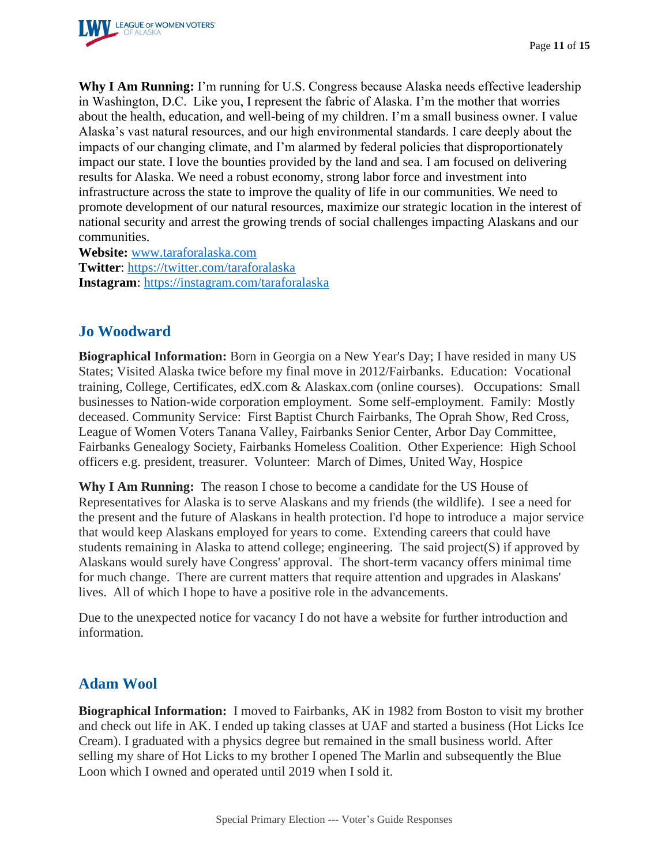

**Why I Am Running:** I'm running for U.S. Congress because Alaska needs effective leadership in Washington, D.C. Like you, I represent the fabric of Alaska. I'm the mother that worries about the health, education, and well-being of my children. I'm a small business owner. I value Alaska's vast natural resources, and our high environmental standards. I care deeply about the impacts of our changing climate, and I'm alarmed by federal policies that disproportionately impact our state. I love the bounties provided by the land and sea. I am focused on delivering results for Alaska. We need a robust economy, strong labor force and investment into infrastructure across the state to improve the quality of life in our communities. We need to promote development of our natural resources, maximize our strategic location in the interest of national security and arrest the growing trends of social challenges impacting Alaskans and our communities.

**Website:** [www.taraforalaska.com](http://www.taraforalaska.com/) **Twitter**:<https://twitter.com/taraforalaska> **Instagram**:<https://instagram.com/taraforalaska>

## **Jo Woodward**

**Biographical Information:** Born in Georgia on a New Year's Day; I have resided in many US States; Visited Alaska twice before my final move in 2012/Fairbanks. Education: Vocational training, College, Certificates, edX.com & Alaskax.com (online courses). Occupations: Small businesses to Nation-wide corporation employment. Some self-employment. Family: Mostly deceased. Community Service: First Baptist Church Fairbanks, The Oprah Show, Red Cross, League of Women Voters Tanana Valley, Fairbanks Senior Center, Arbor Day Committee, Fairbanks Genealogy Society, Fairbanks Homeless Coalition. Other Experience: High School officers e.g. president, treasurer. Volunteer: March of Dimes, United Way, Hospice

**Why I Am Running:** The reason I chose to become a candidate for the US House of Representatives for Alaska is to serve Alaskans and my friends (the wildlife). I see a need for the present and the future of Alaskans in health protection. I'd hope to introduce a major service that would keep Alaskans employed for years to come. Extending careers that could have students remaining in Alaska to attend college; engineering. The said project(S) if approved by Alaskans would surely have Congress' approval. The short-term vacancy offers minimal time for much change. There are current matters that require attention and upgrades in Alaskans' lives. All of which I hope to have a positive role in the advancements.

Due to the unexpected notice for vacancy I do not have a website for further introduction and information.

## **Adam Wool**

**Biographical Information:** I moved to Fairbanks, AK in 1982 from Boston to visit my brother and check out life in AK. I ended up taking classes at UAF and started a business (Hot Licks Ice Cream). I graduated with a physics degree but remained in the small business world. After selling my share of Hot Licks to my brother I opened The Marlin and subsequently the Blue Loon which I owned and operated until 2019 when I sold it.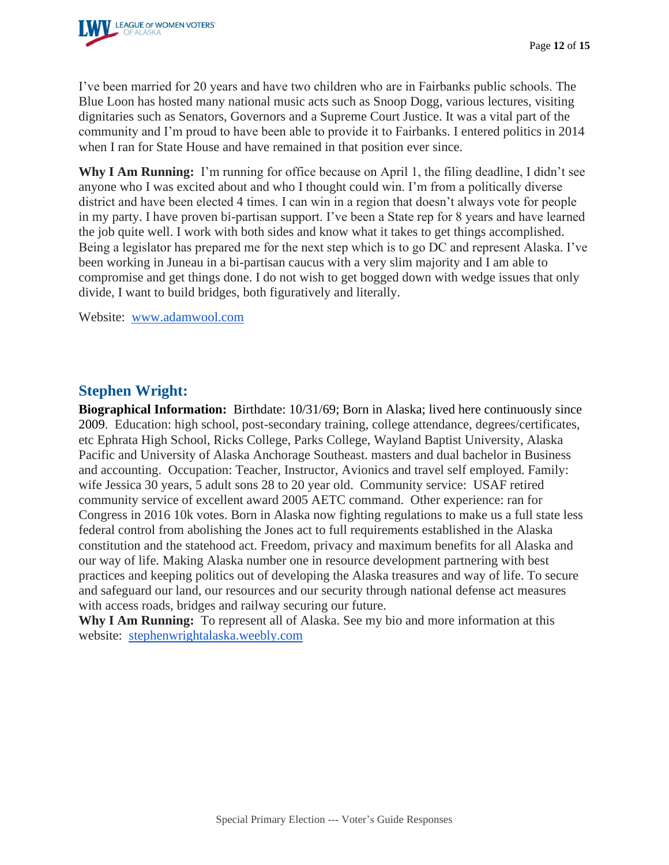

I've been married for 20 years and have two children who are in Fairbanks public schools. The Blue Loon has hosted many national music acts such as Snoop Dogg, various lectures, visiting dignitaries such as Senators, Governors and a Supreme Court Justice. It was a vital part of the community and I'm proud to have been able to provide it to Fairbanks. I entered politics in 2014 when I ran for State House and have remained in that position ever since.

**Why I Am Running:** I'm running for office because on April 1, the filing deadline, I didn't see anyone who I was excited about and who I thought could win. I'm from a politically diverse district and have been elected 4 times. I can win in a region that doesn't always vote for people in my party. I have proven bi-partisan support. I've been a State rep for 8 years and have learned the job quite well. I work with both sides and know what it takes to get things accomplished. Being a legislator has prepared me for the next step which is to go DC and represent Alaska. I've been working in Juneau in a bi-partisan caucus with a very slim majority and I am able to compromise and get things done. I do not wish to get bogged down with wedge issues that only divide, I want to build bridges, both figuratively and literally.

Website: [www.adamwool.com](http://www.adamwool.com/)

#### **Stephen Wright:**

**Biographical Information:** Birthdate: 10/31/69; Born in Alaska; lived here continuously since 2009. Education: high school, post-secondary training, college attendance, degrees/certificates, etc Ephrata High School, Ricks College, Parks College, Wayland Baptist University, Alaska Pacific and University of Alaska Anchorage Southeast. masters and dual bachelor in Business and accounting. Occupation: Teacher, Instructor, Avionics and travel self employed. Family: wife Jessica 30 years, 5 adult sons 28 to 20 year old. Community service: USAF retired community service of excellent award 2005 AETC command. Other experience: ran for Congress in 2016 10k votes. Born in Alaska now fighting regulations to make us a full state less federal control from abolishing the Jones act to full requirements established in the Alaska constitution and the statehood act. Freedom, privacy and maximum benefits for all Alaska and our way of life. Making Alaska number one in resource development partnering with best practices and keeping politics out of developing the Alaska treasures and way of life. To secure and safeguard our land, our resources and our security through national defense act measures with access roads, bridges and railway securing our future.

**Why I Am Running:** To represent all of Alaska. See my bio and more information at this website: [stephenwrightalaska.weebly.com](http://stephenwrightalaska.weebly.com/)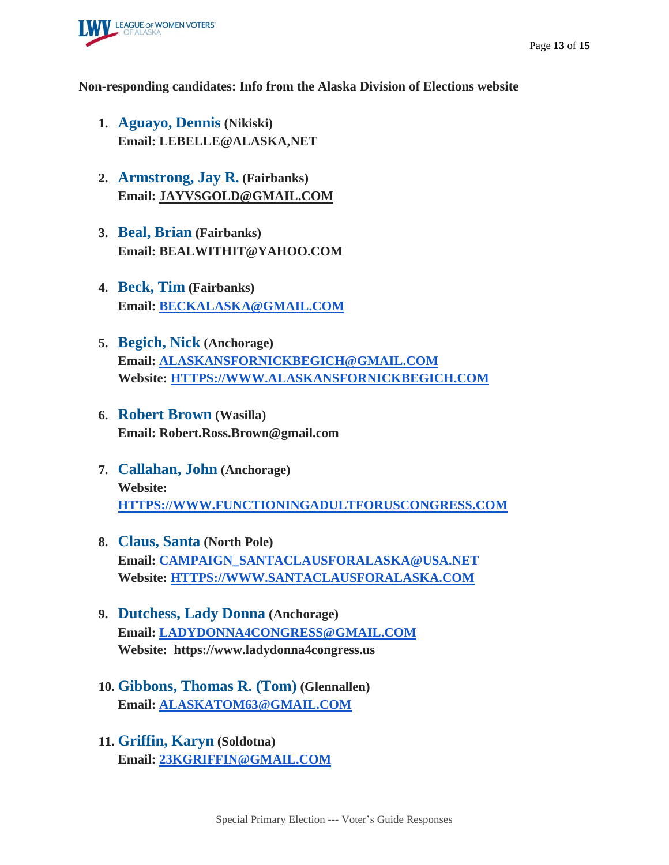

#### **Non-responding candidates: Info from the Alaska Division of Elections website**

- **1. Aguayo, Dennis (Nikiski) Email: LEBELLE@ALASKA,NET**
- **2. Armstrong, Jay R. (Fairbanks) Email: [JAYVSGOLD@GMAIL.COM](mailto:JAYVGOLD@GMAIL.COM)**
- **3. Beal, Brian (Fairbanks) Email: BEALWITHIT@YAHOO.COM**
- **4. Beck, Tim (Fairbanks) Email: [BECKALASKA@GMAIL.COM](mailto:BECKALASKA@GMAIL.COM)**
- **5. Begich, Nick (Anchorage) Email: [ALASKANSFORNICKBEGICH@GMAIL.COM](mailto:ALASKANSFORNICKBEGICH@GMAIL.COM) Website: [HTTPS://WWW.ALASKANSFORNICKBEGICH.COM](https://www.alaskansfornickbegich.com/)**
- **6. Robert Brown (Wasilla) Email: Robert.Ross.Brown@gmail.com**
- **7. Callahan, John (Anchorage) Website: [HTTPS://WWW.FUNCTIONINGADULTFORUSCONGRESS.COM](https://www.functioninggadultforuscongress.com/)**
- **8. Claus, Santa (North Pole) Email: [CAMPAIGN\\_SANTACLAUSFORALASKA@USA.NET](mailto:CAMPAIGN_SANTACLAUSFORALASKA@USA.NET) Website: [HTTPS://WWW.SANTACLAUSFORALASKA.COM](https://www.santaclausforalaska.com/)**
- **9. Dutchess, Lady Donna (Anchorage) Email: [LADYDONNA4CONGRESS@GMAIL.COM](mailto:LADYDONNA4CONGRESS@GMAIL.COM) Website: https://www.ladydonna4congress.us**
- **10. Gibbons, Thomas R. (Tom) (Glennallen) Email: [ALASKATOM63@GMAIL.COM](mailto:ALASKATOM63@GMAIL.COM)**
- **11. Griffin, Karyn (Soldotna) Email: [23KGRIFFIN@GMAIL.COM](mailto:23KGRIFFIN@GMAIL.COM)**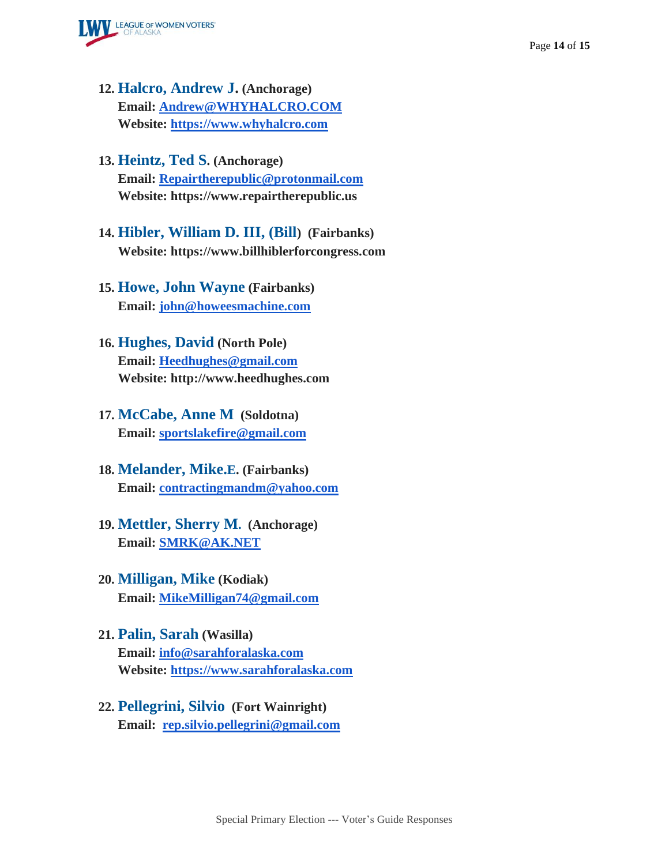

- **12. Halcro, Andrew J. (Anchorage) Email: [Andrew@WHYHALCRO.COM](mailto:Andres@WHYHALCRO.COM) Website: [https://www.whyhalcro.com](https://www.whyhalcro.com/)**
- **13. Heintz, Ted S. (Anchorage) Email: [Repairtherepublic@protonmail.com](mailto:Repairtherepublic@protonmail.com) Website: https://www.repairtherepublic.us**
- **14. Hibler, William D. III, (Bill) (Fairbanks) Website: https://www.billhiblerforcongress.com**
- **15. Howe, John Wayne (Fairbanks) Email: [john@howeesmachine.com](mailto:john@howeesmachine.com)**
- **16. Hughes, David (North Pole) Email: [Heedhughes@gmail.com](mailto:Heedhughes@gmail.com) Website: http://www.heedhughes.com**
- **17. McCabe, Anne M (Soldotna) Email: [sportslakefire@gmail.com](mailto:sportslakefire@gmail.com)**
- **18. Melander, Mike.E. (Fairbanks) Email: [contractingmandm@yahoo.com](mailto:contractingmandm@yahoo.com)**
- **19. Mettler, Sherry M. (Anchorage) Email: [SMRK@AK.NET](mailto:SMRK@AK.NET)**
- **20. Milligan, Mike (Kodiak) Email: [MikeMilligan74@gmail.com](mailto:MikeMilligan74@gmail.com)**
- **21. Palin, Sarah (Wasilla) Email: [info@sarahforalaska.com](mailto:info@sarahforalaska.com) Website: [https://www.sarahforalaska.com](https://www.sarahforalaska.com/)**
- **22. Pellegrini, Silvio (Fort Wainright) Email: [rep.silvio.pellegrini@gmail.com](mailto:rep.silvio.pellegrini@gmail.com)**